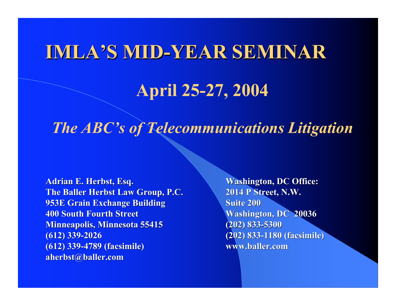# IMLA'S MID-YEAR SEMINAR

## April 25-27, 2004

#### *The ABC's of Telecommunications Litigation*

Adrian E. Herbst, Esq. Adrian E. Herbst, Esq. Adrian E. Washington, DC Office: The Baller Herbst Law Group, P.C. 2014 P Street, N.W. 953E Grain Exchange Building 800 Suite 200 400 South Fourth Street Washington, DC 20036 Washington, DC 20036 **Minneapolis, Minnesota 55415** (202) 833-5300 (612) 339-2026 (202) 833-1180 (facsimile) (202) 833-1180 (facsimile) (612) 339-4789 (facsimile) (612) 339-4789 (facsimile) www.baller.com aherbst@baller.com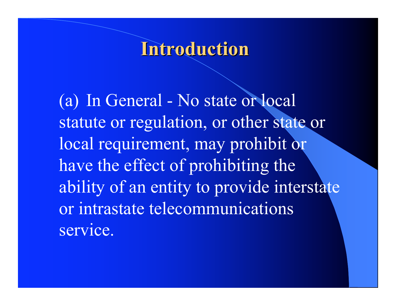### **Introduction**

 (a) In General - No state or local statute or regulation, or other state or local requirement, may prohibit or have the effect of prohibiting the ability of an entity to provide interstate or intrastate telecommunications service.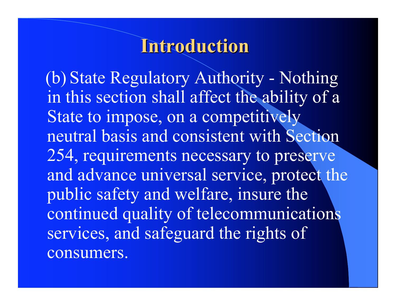## Introduction Introduction

 (b) State Regulatory Authority - Nothing in this section shall affect the ability of a State to impose, on a competitively neutral basis and consistent with Section 254, requirements necessary to preserve and advance universal service, protect the public safety and welfare, insure the continued quality of telecommunications services, and safeguard the rights of consumers.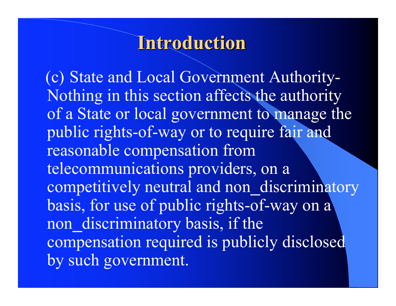## **Introduction**

 (c) State and Local Government Authority-Nothing in this section affects the authority of a State or local government to manage the public rights-of-way or to require fair and reasonable compensation from telecommunications providers, on a competitively neutral and non discriminatory basis, for use of public rights-of-way on a non discriminatory basis, if the compensation required is publicly disclosed by such government.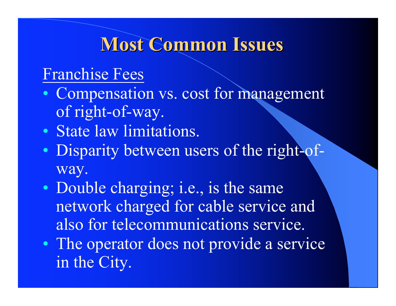# **Most Common Issues**

#### Franchise Fees

- Compensation vs. cost for management of right-of-way.
- State law limitations.
- Disparity between users of the right-ofway.
- Double charging; i.e., is the same network charged for cable service and also for telecommunications service.
- The operator does not provide a service in the City.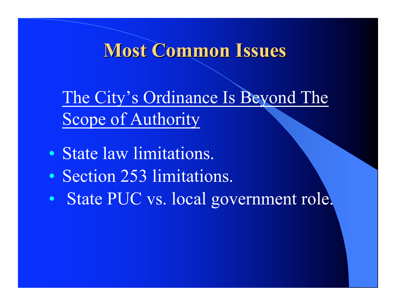## Most Common Issues

 The City's Ordinance Is Beyond The Scope of Authority

- State law limitations.
- Section 253 limitations.
- State PUC vs. local government role.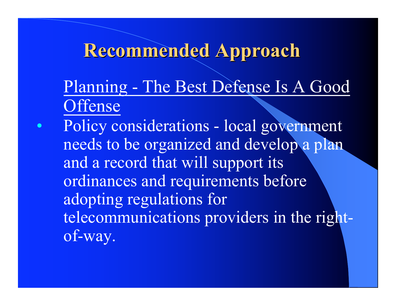# Recommended Approach Recommended Approach

 Planning - The Best Defense Is A Good **Offense** 

• Policy considerations - local government needs to be organized and develop a plan and a record that will support its ordinances and requirements before adopting regulations for telecommunications providers in the rightof-way.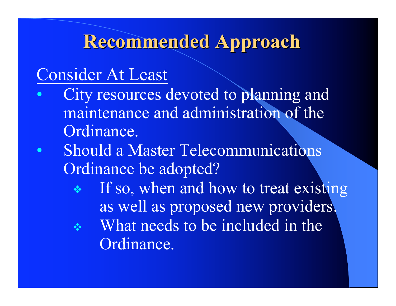# Recommended Approach Recommended Approach

## Consider At Least

- City resources devoted to planning and maintenance and administration of the Ordinance.
- Should a Master Telecommunications Ordinance be adopted?
	- **If so, when and how to treat existing** as well as proposed new providers.
	- $\cdot$  What needs to be included in the Ordinance.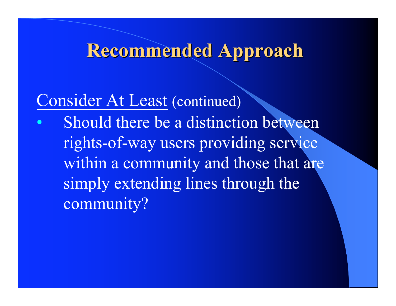# Recommended Approach

## Consider At Least (continued)

Should there be a distinction between rights-of-way users providing service within a community and those that are simply extending lines through the community?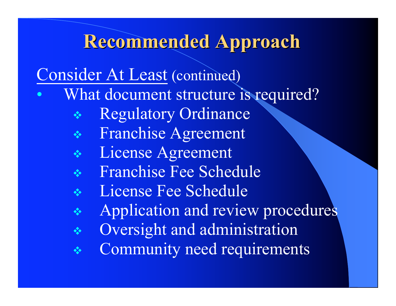# Recommended Approach Recommended Approach

#### Consider At Least (continued)

- What document structure is required?
	- Regulatory Ordinance
	- Franchise Agreement
	- \* License Agreement
	- Franchise Fee Schedule
	- **Executer Fee Schedule**
	- **Application and review procedures**
	- Oversight and administration
	- **EXECOMMUNITY need requirements**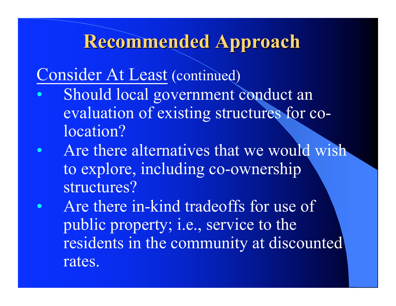## Recommended Approach Recommended Approach

#### Consider At Least (continued)

- Should local government conduct an evaluation of existing structures for colocation?
- Are there alternatives that we would wish to explore, including co-ownership structures?
- Are there in-kind tradeoffs for use of public property; i.e., service to the residents in the community at discounted rates.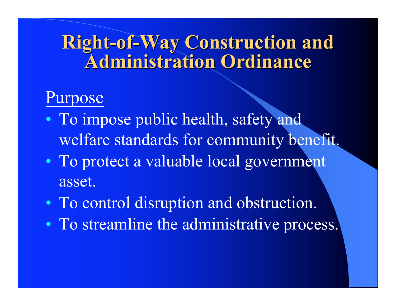# Right-of-Way Construction and **Administration Ordinance**

## Purpose

- To impose public health, safety and welfare standards for community benefit.
- To protect a valuable local government asset.
- To control disruption and obstruction.
- To streamline the administrative process.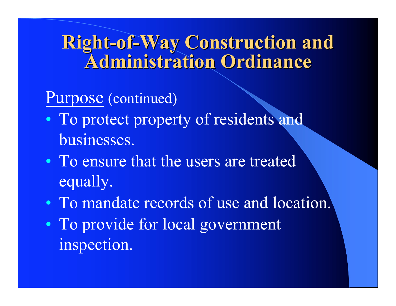# Right-of-Way Construction and **Administration Ordinance**

### Purpose (continued)

- To protect property of residents and businesses.
- To ensure that the users are treated equally.
- To mandate records of use and location.
- To provide for local government inspection.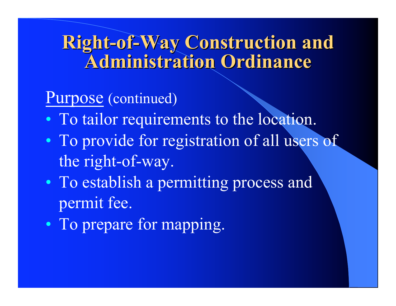# Right-of-Way Construction and **Administration Ordinance**

### Purpose (continued)

- To tailor requirements to the location.
- To provide for registration of all users of the right-of-way.
- To establish a permitting process and permit fee.
- To prepare for mapping.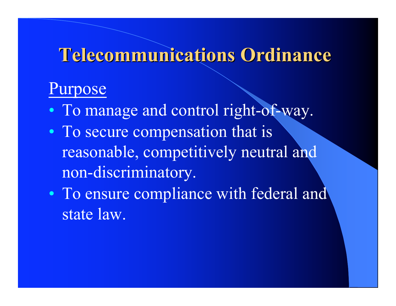## Telecommunications Ordinance

#### Purpose

- To manage and control right-of-way.
- To secure compensation that is reasonable, competitively neutral and non-discriminatory.
- To ensure compliance with federal and state law.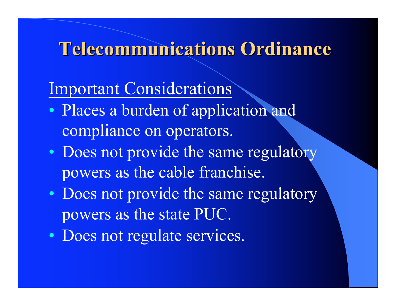### Telecommunications Ordinance

## Important Considerations

- Places a burden of application and compliance on operators.
- Does not provide the same regulatory powers as the cable franchise.
- Does not provide the same regulatory powers as the state PUC.
- Does not regulate services.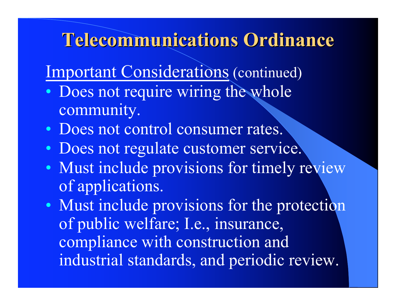## Telecommunications Ordinance

Important Considerations (continued)

- Does not require wiring the whole community.
- Does not control consumer rates.
- Does not regulate customer service.
- Must include provisions for timely review of applications.
- Must include provisions for the protection of public welfare; I.e., insurance, compliance with construction and industrial standards, and periodic review.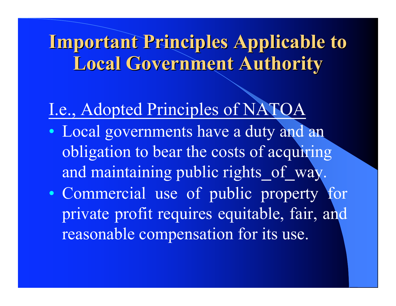# Important Principles Applicable to **Local Government Authority**

# I.e., Adopted Principles of NATOA

- Local governments have a duty and an obligation to bear the costs of acquiring and maintaining public rights of way.
- Commercial use of public property for private profit requires equitable, fair, and reasonable compensation for its use.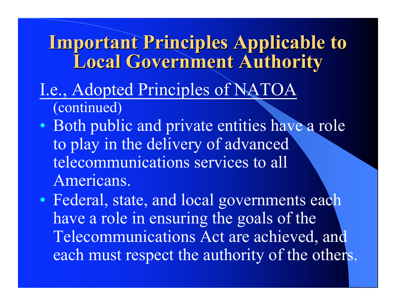## **Important Principles Applicable to Local Government Authority**

#### I.e., Adopted Principles of NATOA (continued)

• Both public and private entities have a role to play in the delivery of advanced telecommunications services to all Americans.

• Federal, state, and local governments each have a role in ensuring the goals of the Telecommunications Act are achieved, and each must respect the authority of the others.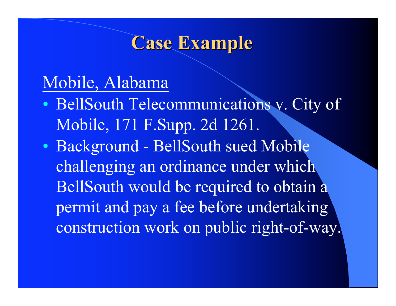## Mobile, Alabama

- BellSouth Telecommunications v. City of Mobile, 171 F.Supp. 2d 1261.
- Background BellSouth sued Mobile challenging an ordinance under which BellSouth would be required to obtain a permit and pay a fee before undertaking construction work on public right-of-way.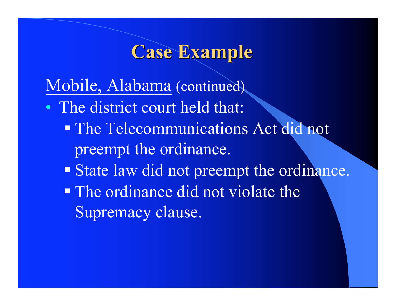Mobile, Alabama (continued)

- The district court held that:
	- The Telecommunications Act did not preempt the ordinance.
	- State law did not preempt the ordinance.
	- The ordinance did not violate the Supremacy clause.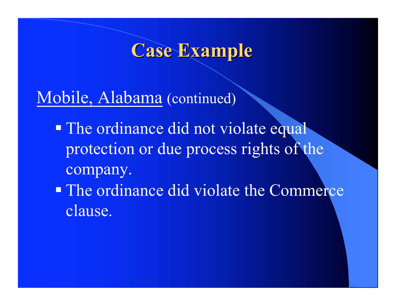Mobile, Alabama (continued)

- The ordinance did not violate equal protection or due process rights of the company.
- The ordinance did violate the Commerce clause.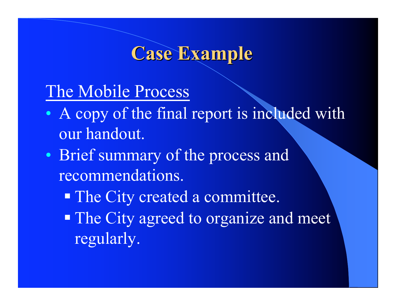#### The Mobile Process

- A copy of the final report is included with our handout.
- Brief summary of the process and recommendations.
	- The City created a committee.
	- The City agreed to organize and meet regularly.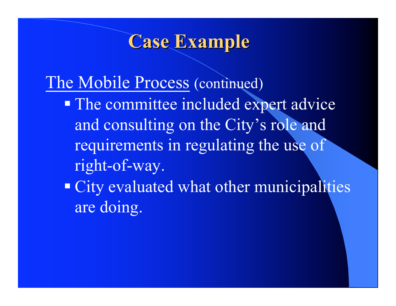## The Mobile Process (continued)

- **The committee included expert advice** and consulting on the City's role and requirements in regulating the use of right-of-way.
- **City evaluated what other municipalities** are doing.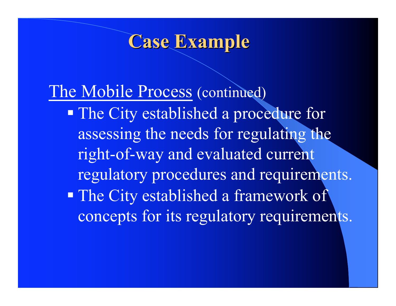The Mobile Process (continued) **The City established a procedure for** assessing the needs for regulating the right-of-way and evaluated current regulatory procedures and requirements. **The City established a framework of** concepts for its regulatory requirements.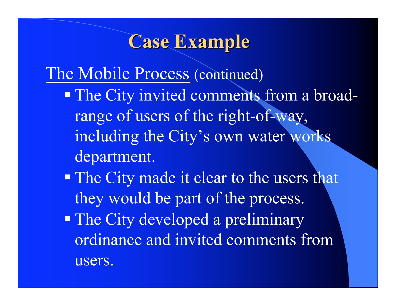The Mobile Process (continued)

- The City invited comments from a broadrange of users of the right-of-way, including the City's own water works department.
- **The City made it clear to the users that** they would be part of the process.
- The City developed a preliminary ordinance and invited comments from users.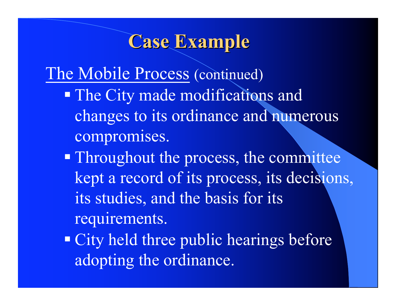The Mobile Process (continued)

- The City made modifications and changes to its ordinance and numerous compromises.
- **Throughout the process, the committee** kept a record of its process, its decisions, its studies, and the basis for its requirements.
- City held three public hearings before adopting the ordinance.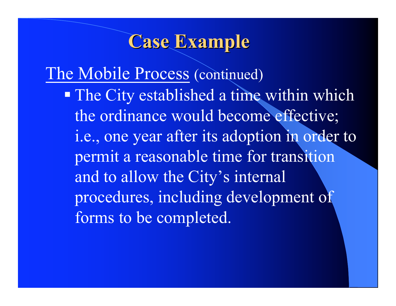The Mobile Process (continued)

 The City established a time within which the ordinance would become effective; i.e., one year after its adoption in order to permit a reasonable time for transition and to allow the City's internal procedures, including development of forms to be completed.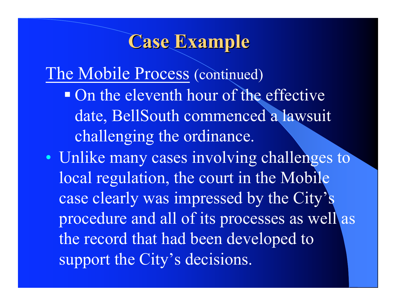The Mobile Process (continued) • On the eleventh hour of the effective date, BellSouth commenced a lawsuit challenging the ordinance.

• Unlike many cases involving challenges to local regulation, the court in the Mobile case clearly was impressed by the City's procedure and all of its processes as well as the record that had been developed to support the City's decisions.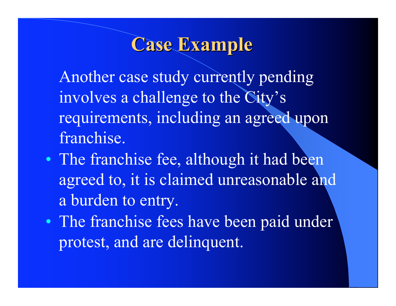Another case study currently pending involves a challenge to the City's requirements, including an agreed upon franchise.

- The franchise fee, although it had been agreed to, it is claimed unreasonable and a burden to entry.
- The franchise fees have been paid under protest, and are delinquent.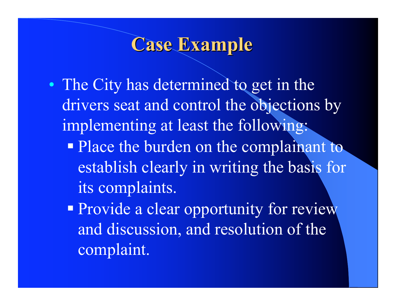- The City has determined to get in the drivers seat and control the objections by implementing at least the following:
	- Place the burden on the complainant to establish clearly in writing the basis for its complaints.
	- **Provide a clear opportunity for review** and discussion, and resolution of the complaint.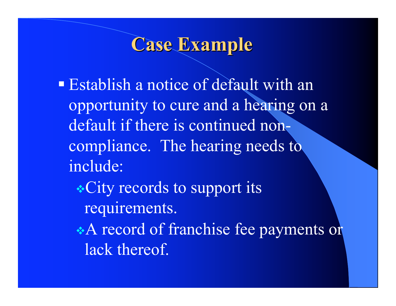- **Establish a notice of default with an** opportunity to cure and a hearing on a default if there is continued noncompliance. The hearing needs to include:
	- \* City records to support its requirements.
	- A record of franchise fee payments or lack thereof.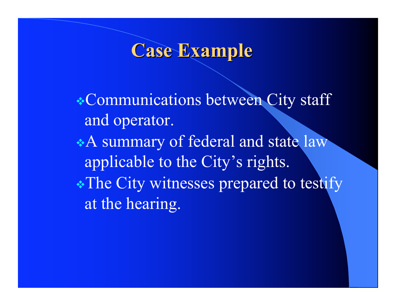\* Communications between City staff and operator.

\*A summary of federal and state law applicable to the City's rights. \* The City witnesses prepared to testify at the hearing.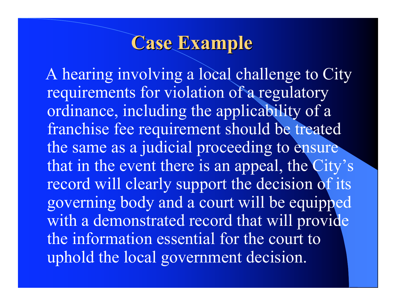A hearing involving a local challenge to City requirements for violation of a regulatory ordinance, including the applicability of a franchise fee requirement should be treated the same as a judicial proceeding to ensure that in the event there is an appeal, the City's record will clearly support the decision of its governing body and a court will be equipped with a demonstrated record that will provide the information essential for the court to uphold the local government decision.